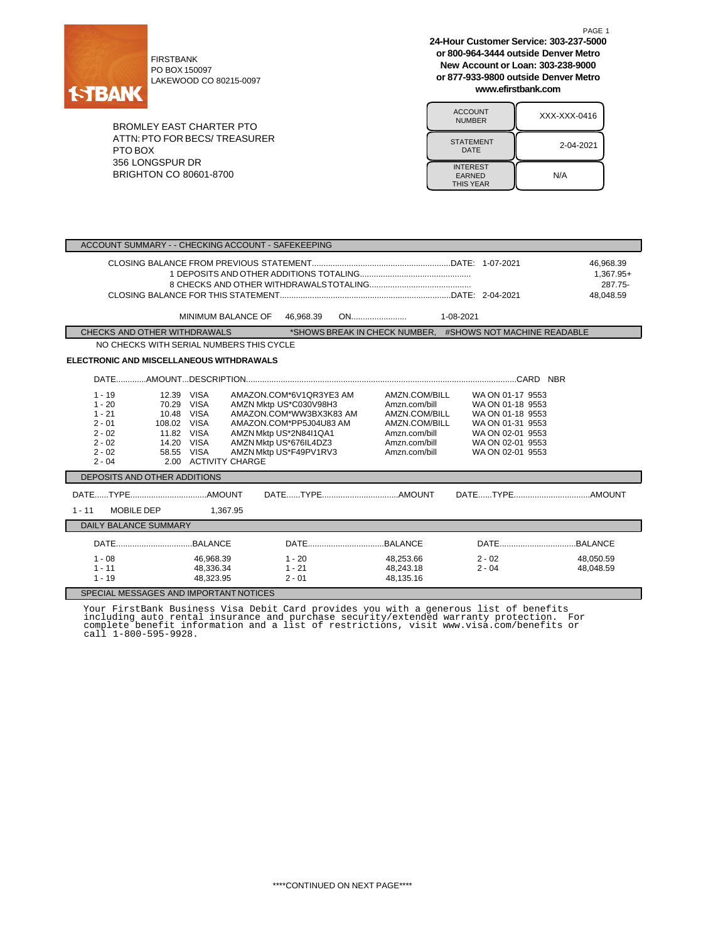

FIRSTBANK PO BOX 150097 LAKEWOOD CO 80215-0097

BROMLEY EAST CHARTER PTO ATTN:PTO FOR BECS/ TREASURER PTO BOX 356 LONGSPUR DR BRIGHTON CO 80601-8700

**24-Hour Customer Service: 303-237-5000 or 800-964-3444 outside Denver Metro New Account or Loan: 303-238-9000 or 877-933-9800 outside Denver Metro www.efirstbank.com**

PAGE 1

| <b>ACCOUNT</b><br><b>NUMBER</b>                      | XXX-XXX-0416 |
|------------------------------------------------------|--------------|
| <b>STATEMENT</b><br>DATE                             | 2-04-2021    |
| <b>INTEREST</b><br><b>EARNED</b><br><b>THIS YEAR</b> | N/A          |

| ACCOUNT SUMMARY - - CHECKING ACCOUNT - SAFEKEEPING                                                                                                                                                                                                                        |                                                                                                                                                                                       |                                                                                                                     |                                                                                                                                          |                                                |  |  |
|---------------------------------------------------------------------------------------------------------------------------------------------------------------------------------------------------------------------------------------------------------------------------|---------------------------------------------------------------------------------------------------------------------------------------------------------------------------------------|---------------------------------------------------------------------------------------------------------------------|------------------------------------------------------------------------------------------------------------------------------------------|------------------------------------------------|--|--|
| MINIMUM BALANCE OF                                                                                                                                                                                                                                                        | 46,968.39                                                                                                                                                                             |                                                                                                                     |                                                                                                                                          | 46,968.39<br>1,367.95+<br>287.75-<br>48.048.59 |  |  |
| CHECKS AND OTHER WITHDRAWALS                                                                                                                                                                                                                                              |                                                                                                                                                                                       |                                                                                                                     | *SHOWS BREAK IN CHECK NUMBER. #SHOWS NOT MACHINE READABLE                                                                                |                                                |  |  |
| NO CHECKS WITH SERIAL NUMBERS THIS CYCLE                                                                                                                                                                                                                                  |                                                                                                                                                                                       |                                                                                                                     |                                                                                                                                          |                                                |  |  |
| <b>ELECTRONIC AND MISCELLANEOUS WITHDRAWALS</b>                                                                                                                                                                                                                           |                                                                                                                                                                                       |                                                                                                                     |                                                                                                                                          |                                                |  |  |
|                                                                                                                                                                                                                                                                           |                                                                                                                                                                                       |                                                                                                                     |                                                                                                                                          |                                                |  |  |
| 12.39 VISA<br>$1 - 19$<br>$1 - 20$<br><b>VISA</b><br>70.29<br>$1 - 21$<br>10.48<br><b>VISA</b><br>$2 - 01$<br>108.02 VISA<br>$2 - 02$<br>11.82 VISA<br>$2 - 02$<br>14.20<br><b>VISA</b><br>$2 - 02$<br>58.55<br><b>VISA</b><br><b>ACTIVITY CHARGE</b><br>2.00<br>$2 - 04$ | AMAZON.COM*6V1QR3YE3 AM<br>AMZN Mktp US*C030V98H3<br>AMAZON.COM*WW3BX3K83 AM<br>AMAZON.COM*PP5J04U83 AM<br>AMZN Mktp US*2N84I1QA1<br>AMZN Mktp US*676IL4DZ3<br>AMZN Mktp US*F49PV1RV3 | AMZN.COM/BILL<br>Amzn.com/bill<br>AMZN.COM/BILL<br>AMZN.COM/BILL<br>Amzn.com/bill<br>Amzn.com/bill<br>Amzn.com/bill | WA ON 01-17 9553<br>WA ON 01-18 9553<br>WA ON 01-18 9553<br>WA ON 01-31 9553<br>WA ON 02-01 9553<br>WA ON 02-01 9553<br>WA ON 02-01 9553 |                                                |  |  |
| DEPOSITS AND OTHER ADDITIONS                                                                                                                                                                                                                                              |                                                                                                                                                                                       |                                                                                                                     |                                                                                                                                          |                                                |  |  |
| <b>MOBILE DEP</b><br>$1 - 11$<br>1,367.95                                                                                                                                                                                                                                 |                                                                                                                                                                                       |                                                                                                                     |                                                                                                                                          |                                                |  |  |
| <b>DAILY BALANCE SUMMARY</b>                                                                                                                                                                                                                                              |                                                                                                                                                                                       |                                                                                                                     |                                                                                                                                          |                                                |  |  |
|                                                                                                                                                                                                                                                                           |                                                                                                                                                                                       |                                                                                                                     |                                                                                                                                          |                                                |  |  |
| $1 - 08$<br>46,968.39<br>$1 - 11$<br>48,336.34<br>$1 - 19$<br>48,323.95                                                                                                                                                                                                   | $1 - 20$<br>$1 - 21$<br>$2 - 01$                                                                                                                                                      | 48,253.66<br>48,243.18<br>48,135.16                                                                                 | $2 - 02$<br>$2 - 04$                                                                                                                     | 48,050.59<br>48,048.59                         |  |  |
| SPECIAL MESSAGES AND IMPORTANT NOTICES                                                                                                                                                                                                                                    |                                                                                                                                                                                       |                                                                                                                     |                                                                                                                                          |                                                |  |  |

Your FirstBank Business Visa Debit Card provides you with a generous list of benefits<br>including auto rental insurance and purchase security/extended warranty protection. For<br>complete benefit information and a list of restr